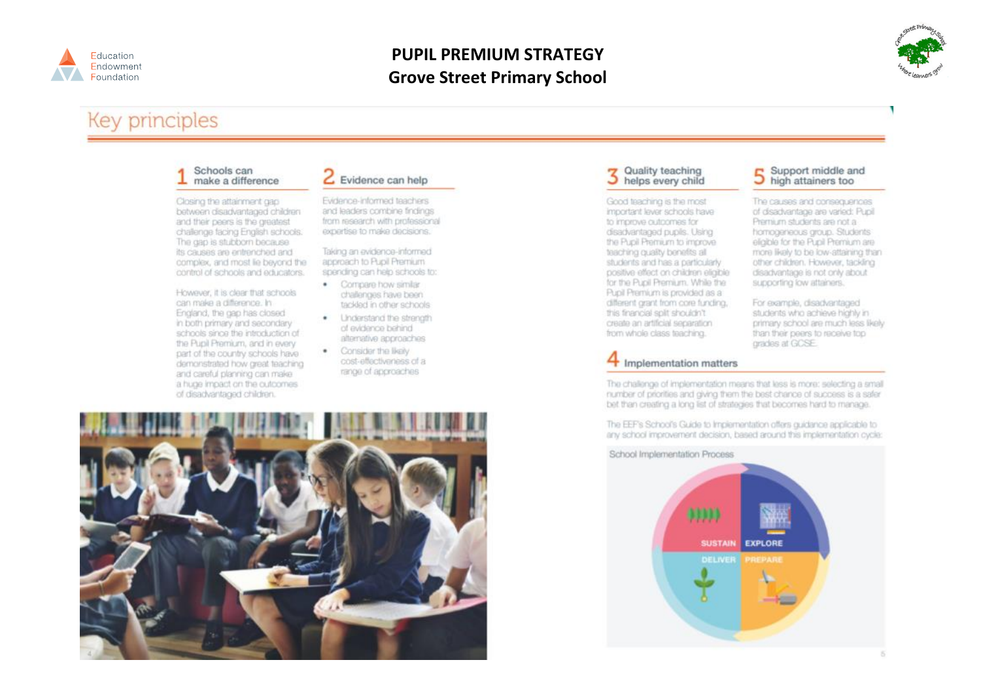

### **PUPIL PREMIUM STRATEGY Grove Street Primary School**



# **Key principles**

#### Schools can make a difference

Closing the attainment gap between disadvantaged children and their peers is the greatest challenge facing English schools. The gap is stubborn because its causes are entrenched and complex, and most lie beyond the control of schools and educators.

However, it is clear that schools can make a difference. In England, the gap has closed in both primary and secondary schools since the introduction of the Pupil Premium, and in every part of the country schools have demonstrated how great teaching and careful planning can make a huge impact on the outcomes. of disadvantaged children.

#### $E$  Evidence can help

Evidence-informed teachers and leaders combine findings from research with professional expertise to make decisions.

Taking an evidence-informed anomach to Puol Premium spending can help schools to:

- · Compare how similar challenges have been tackled in other schools.
- . Linderstand the strength of evidence behind. alternative approaches
- Consider the likely  $\bullet$ cost-effectiveness of a range of approaches



# 3 Quality teaching<br>belps every child

Good teaching is the most important lever schools have to improve outcomes for disadvantaged pupils. Using the Pupil Premium to improve teaching quality benefits all students and has a particularly positive effect on children eligible for the Pupil Premium, While the Pupil Premium is provided as a different grant from core funding. this francial split shouldn't create an artificial separation. from whole class teaching.

#### 5 Support middle as Support middle and

The causes and consequences of disadvantage are varied: Pupil Premium students are not a homogeneous group. Students eligible for the Pupil Premium are more likely to be low-attaining than other children. However, tackling disadvantage is not only about supporting low attainers.

For example, disadvantaged students who achieve highly in primary school are much less likely than their peers to receive top grades at GCSE.

#### Implementation matters

The challenge of implementation means that less is more: selecting a small number of priorities and giving them the best chance of success is a safer bet than creating a long list of strategies that becomes hard to manage.

The EEF's School's Guide to Implementation offers guidance applicable to any school improvement decision, based around this implementation cycle:

#### School Implementation Process

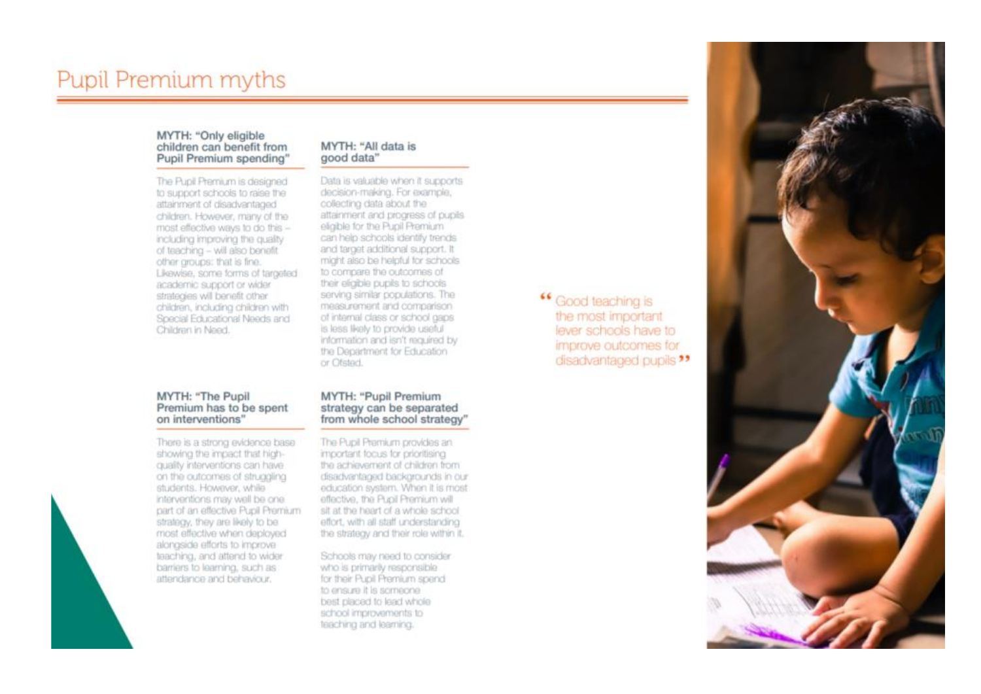# **Pupil Premium myths**

#### MYTH: "Only eligible children can benefit from Pupil Premium spending"

The Pupil Premium is designed to support schools to raise the attainment of disadvantaged children. However, many of the most effective ways to do this including improving the quality of teaching - will also benefit other groups: that is fine. Likewise, some forms of targeted academic support or wider strategies will benefit other children, including children with Special Educational Needs and Children in Need.

#### MYTH: "All data is good data"

Data is valuable when it supports decision-making. For example, collecting data about the attainment and progress of pupils eligible for the Pupil Premium can help schools identify trends and target additional support. It might also be helpful for schools to compare the outcomes of their eligible pupils to schools serving similar populations. The measurement and comparison. of internal class or school gaps is less likely to provide useful information and isn't required by the Department for Education or Ofsted.

#### MYTH: "The Pupil Premium has to be spent on interventions"

There is a strong evidence base showing the impact that highquality interventions can have on the outcomes of struggling students, However, while interventions may well be one part of an effective Pupil Premium strategy, they are likely to be most effective when deployed alongside efforts to improve teaching, and attend to wider barriers to learning, such as attendance and behaviour.

#### MYTH: "Pupil Premium strategy can be separated from whole school strategy"

The Pupil Premium provides an important focus for prioritising the achievement of children from disadvantaged backgrounds in our education system. When it is most effective, the Pupil Premium will sit at the heart of a whole school effort, with all staff understanding the strategy and their role within it.

Schools may need to consider who is primarily responsible for their Pupil Premium spend to ensure it is someone best placed to lead whole school improvements to teaching and learning.

<sup>66</sup> Good teaching is the most important lever schools have to improve outcomes for disadvantaged pupils "

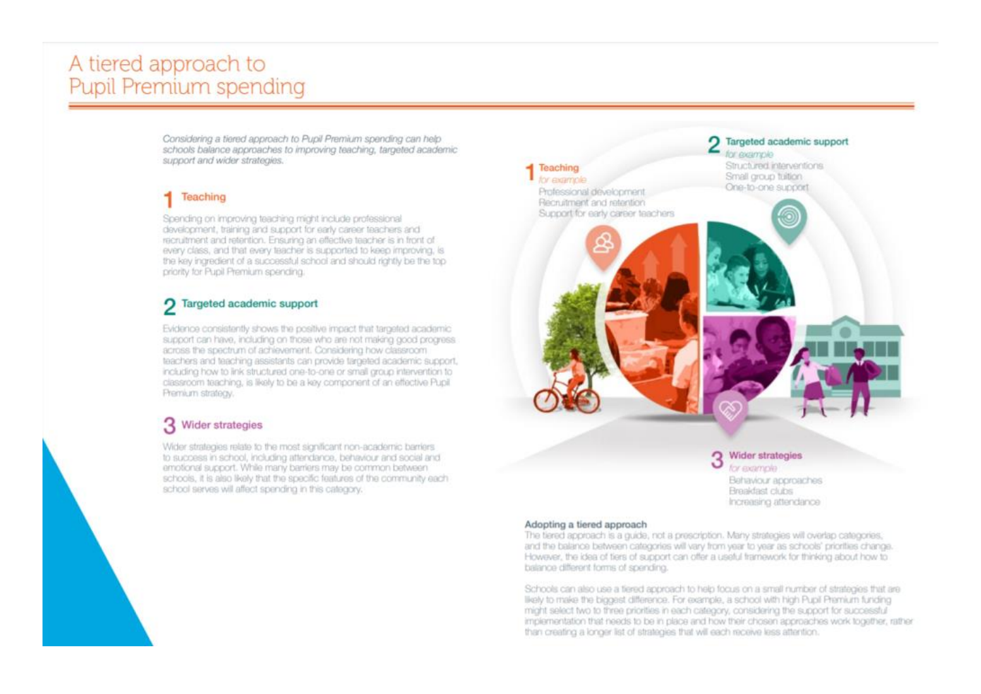# A tiered approach to **Pupil Premium spending**

Considering a tiered approach to Pupil Premium spending can help schools balance approaches to improving teaching, targeted academic support and wider strategies.

#### Teaching

Spending on improving teaching might include professional development, training and support for early career teachers and recruitment and retention. Ensuring an effective teacher is in front of every class, and that every teacher is supported to keep improving, is the key ingredient of a successful school and should rightly be the top priority for Pupil Premium spending.

### 7 Targeted academic support

Evidence consistently shows the positive impact that targeted academic support can have, including on those who are not making good progress. across the spectrum of achievement. Considering how classroom teachers and teaching assistants can provide targeted academic support, including how to link structured one-to-one or small group intervention to classroom teaching, is likely to be a key component of an effective Pupil. Premium strategy.

#### Wider strategies

Wider strategies relate to the most significant non-academic barriers. to success in school, including attendance, behaviour and social and emotional support. While many barriers may be common between schools, it is also likely that the specific features of the community each school serves will affect spending in this category.



for example Behaviour approaches Breakfast clubs Increasing attendance

#### Adopting a tiered approach

The tiered approach is a quide, not a prescription. Many strategies will overlap categories, and the balance between categories will vary from year to year as schools' priorities change. However, the idea of tiers of support can offer a useful framework for thinking about how to balance different forms of spending.

Schools can also use a tiered approach to help focus on a small number of strategies that are likely to make the biggest difference. For example, a school with high Pupil Premium funding might select two to three priorities in each category, considering the support for successful implementation that needs to be in place and how their chosen approaches work together, rather than creating a longer list of strategies that will each receive less attention.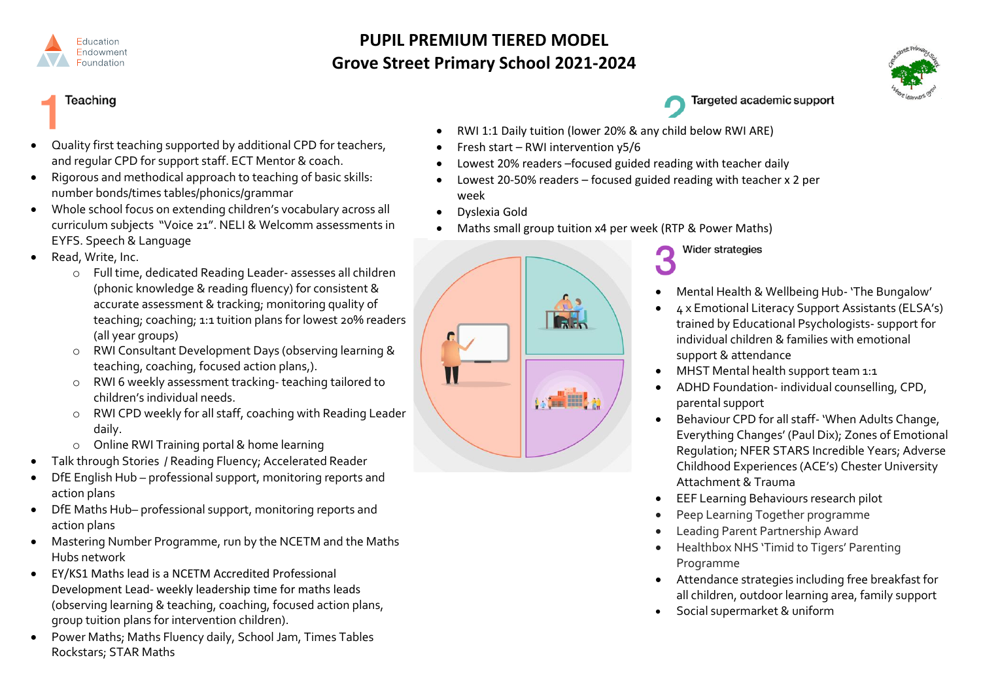

### **PUPIL PREMIUM TIERED MODEL Grove Street Primary School 2021-2024**



**Teaching** 

- Quality first teaching supported by additional CPD for teachers, and regular CPD for support staff. ECT Mentor & coach.
- Rigorous and methodical approach to teaching of basic skills: number bonds/times tables/phonics/grammar
- Whole school focus on extending children's vocabulary across all curriculum subjects "Voice 21". NELI & Welcomm assessments in EYFS. Speech & Language
- Read, Write, Inc.
	- o Full time, dedicated Reading Leader- assesses all children (phonic knowledge & reading fluency) for consistent & accurate assessment & tracking; monitoring quality of teaching; coaching; 1:1 tuition plans for lowest 20% readers (all year groups)
	- o RWI Consultant Development Days (observing learning & teaching, coaching, focused action plans,).
	- o RWI 6 weekly assessment tracking- teaching tailored to children's individual needs.
	- o RWI CPD weekly for all staff, coaching with Reading Leader daily.
	- o Online RWI Training portal & home learning
- Talk through Stories / Reading Fluency; Accelerated Reader
- DfE English Hub professional support, monitoring reports and action plans
- DfE Maths Hub– professional support, monitoring reports and action plans
- Mastering Number Programme, run by the NCETM and the Maths Hubs network
- EY/KS1 Maths lead is a NCETM Accredited Professional Development Lead- weekly leadership time for maths leads (observing learning & teaching, coaching, focused action plans, group tuition plans for intervention children).
- Power Maths; Maths Fluency daily, School Jam, Times Tables Rockstars; STAR Maths
- RWI 1:1 Daily tuition (lower 20% & any child below RWI ARE)
- Fresh start RWI intervention y5/6
- Lowest 20% readers –focused guided reading with teacher daily
- Lowest 20-50% readers focused guided reading with teacher x 2 per week
- Dyslexia Gold
- Maths small group tuition x4 per week (RTP & Power Maths)



**Wider strategies** 

- Mental Health & Wellbeing Hub- 'The Bungalow'
- 4 x Emotional Literacy Support Assistants (ELSA's) trained by Educational Psychologists- support for individual children & families with emotional support & attendance
- MHST Mental health support team 1:1

Targeted academic support

- ADHD Foundation- individual counselling, CPD, parental support
- Behaviour CPD for all staff- 'When Adults Change, Everything Changes' (Paul Dix); Zones of Emotional Regulation; NFER STARS Incredible Years; Adverse Childhood Experiences (ACE's) Chester University Attachment & Trauma
- EEF Learning Behaviours research pilot
- Peep Learning Together programme
- Leading Parent Partnership Award
- Healthbox NHS 'Timid to Tigers' Parenting Programme
- Attendance strategies including free breakfast for all children, outdoor learning area, family support
- Social supermarket & uniform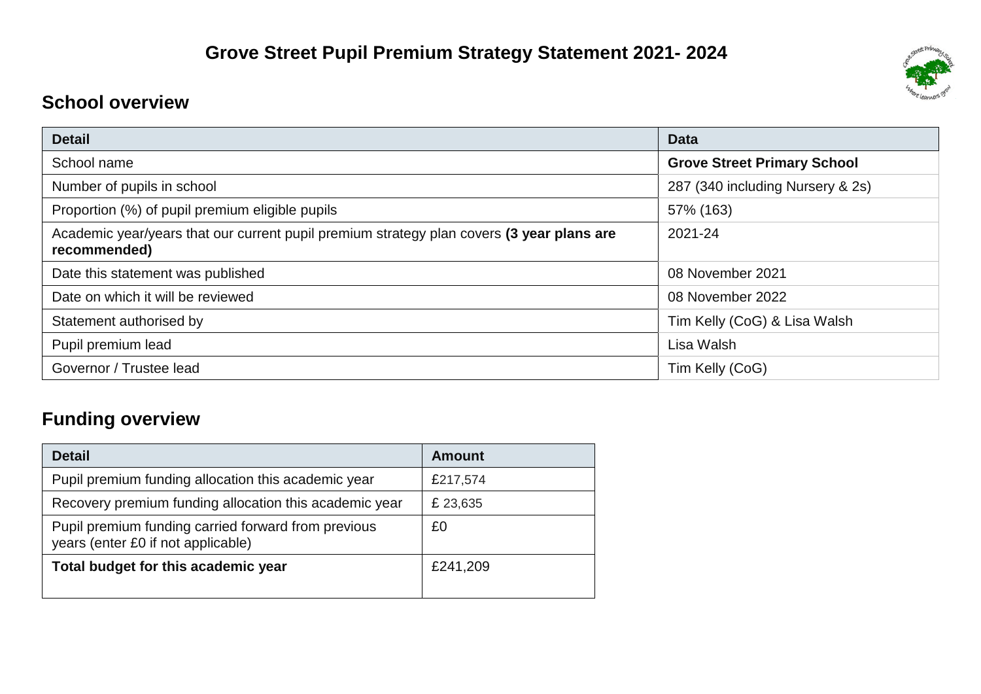# **School overview**

| <b>Detail</b>                                                                                             | <b>Data</b>                        |
|-----------------------------------------------------------------------------------------------------------|------------------------------------|
| School name                                                                                               | <b>Grove Street Primary School</b> |
| Number of pupils in school                                                                                | 287 (340 including Nursery & 2s)   |
| Proportion (%) of pupil premium eligible pupils                                                           | 57% (163)                          |
| Academic year/years that our current pupil premium strategy plan covers (3 year plans are<br>recommended) | 2021-24                            |
| Date this statement was published                                                                         | 08 November 2021                   |
| Date on which it will be reviewed                                                                         | 08 November 2022                   |
| Statement authorised by                                                                                   | Tim Kelly (CoG) & Lisa Walsh       |
| Pupil premium lead                                                                                        | Lisa Walsh                         |
| Governor / Trustee lead                                                                                   | Tim Kelly (CoG)                    |

# **Funding overview**

| <b>Detail</b>                                                                             | Amount   |
|-------------------------------------------------------------------------------------------|----------|
| Pupil premium funding allocation this academic year                                       | £217,574 |
| Recovery premium funding allocation this academic year                                    | £ 23,635 |
| Pupil premium funding carried forward from previous<br>years (enter £0 if not applicable) | £0       |
| Total budget for this academic year                                                       | £241,209 |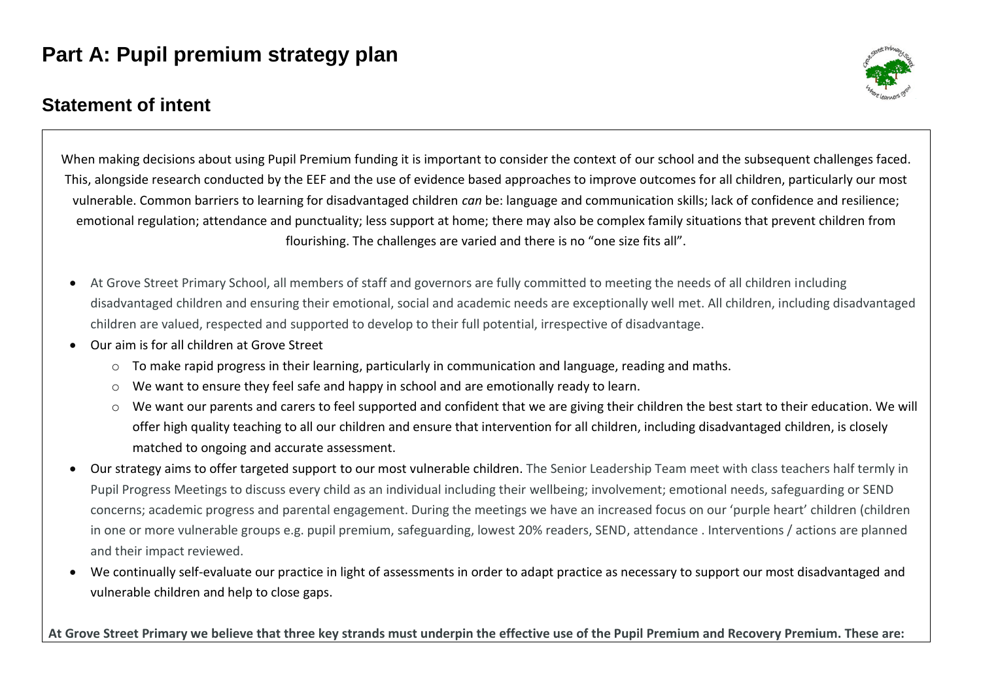# **Part A: Pupil premium strategy plan**

## **Statement of intent**



When making decisions about using Pupil Premium funding it is important to consider the context of our school and the subsequent challenges faced. This, alongside research conducted by the EEF and the use of evidence based approaches to improve outcomes for all children, particularly our most vulnerable. Common barriers to learning for disadvantaged children *can* be: language and communication skills; lack of confidence and resilience; emotional regulation; attendance and punctuality; less support at home; there may also be complex family situations that prevent children from flourishing. The challenges are varied and there is no "one size fits all".

- At Grove Street Primary School, all members of staff and governors are fully committed to meeting the needs of all children including disadvantaged children and ensuring their emotional, social and academic needs are exceptionally well met. All children, including disadvantaged children are valued, respected and supported to develop to their full potential, irrespective of disadvantage.
- Our aim is for all children at Grove Street
	- $\circ$  To make rapid progress in their learning, particularly in communication and language, reading and maths.
	- o We want to ensure they feel safe and happy in school and are emotionally ready to learn.
	- $\circ$  We want our parents and carers to feel supported and confident that we are giving their children the best start to their education. We will offer high quality teaching to all our children and ensure that intervention for all children, including disadvantaged children, is closely matched to ongoing and accurate assessment.
- Our strategy aims to offer targeted support to our most vulnerable children. The Senior Leadership Team meet with class teachers half termly in Pupil Progress Meetings to discuss every child as an individual including their wellbeing; involvement; emotional needs, safeguarding or SEND concerns; academic progress and parental engagement. During the meetings we have an increased focus on our 'purple heart' children (children in one or more vulnerable groups e.g. pupil premium, safeguarding, lowest 20% readers, SEND, attendance . Interventions / actions are planned and their impact reviewed.
- We continually self-evaluate our practice in light of assessments in order to adapt practice as necessary to support our most disadvantaged and vulnerable children and help to close gaps.

At Grove Street Primary we believe that three key strands must underpin the effective use of the Pupil Premium and Recovery Premium. These are: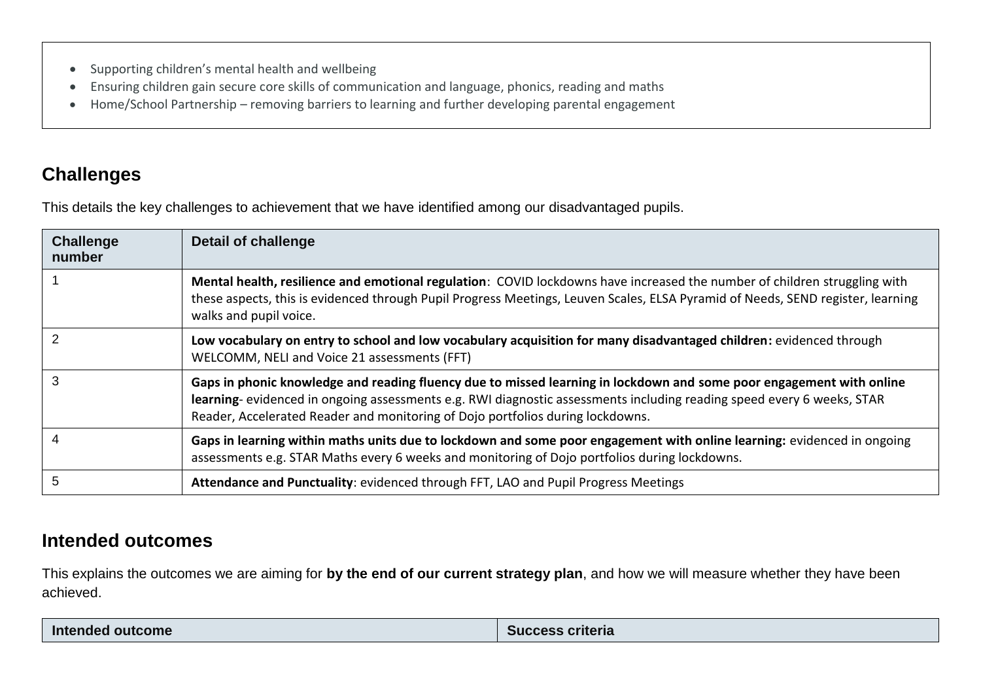- Supporting children's mental health and wellbeing
- Ensuring children gain secure core skills of communication and language, phonics, reading and maths
- Home/School Partnership removing barriers to learning and further developing parental engagement

## **Challenges**

This details the key challenges to achievement that we have identified among our disadvantaged pupils.

| <b>Challenge</b><br>number | Detail of challenge                                                                                                                                                                                                                                                                                                             |
|----------------------------|---------------------------------------------------------------------------------------------------------------------------------------------------------------------------------------------------------------------------------------------------------------------------------------------------------------------------------|
|                            | Mental health, resilience and emotional regulation: COVID lockdowns have increased the number of children struggling with<br>these aspects, this is evidenced through Pupil Progress Meetings, Leuven Scales, ELSA Pyramid of Needs, SEND register, learning<br>walks and pupil voice.                                          |
|                            | Low vocabulary on entry to school and low vocabulary acquisition for many disadvantaged children: evidenced through<br>WELCOMM, NELI and Voice 21 assessments (FFT)                                                                                                                                                             |
| 3                          | Gaps in phonic knowledge and reading fluency due to missed learning in lockdown and some poor engagement with online<br>learning-evidenced in ongoing assessments e.g. RWI diagnostic assessments including reading speed every 6 weeks, STAR<br>Reader, Accelerated Reader and monitoring of Dojo portfolios during lockdowns. |
|                            | Gaps in learning within maths units due to lockdown and some poor engagement with online learning: evidenced in ongoing<br>assessments e.g. STAR Maths every 6 weeks and monitoring of Dojo portfolios during lockdowns.                                                                                                        |
| 5                          | Attendance and Punctuality: evidenced through FFT, LAO and Pupil Progress Meetings                                                                                                                                                                                                                                              |

### **Intended outcomes**

This explains the outcomes we are aiming for **by the end of our current strategy plan**, and how we will measure whether they have been achieved.

| Intended outcome | criteria<br>suc<br>ccess |
|------------------|--------------------------|
|                  |                          |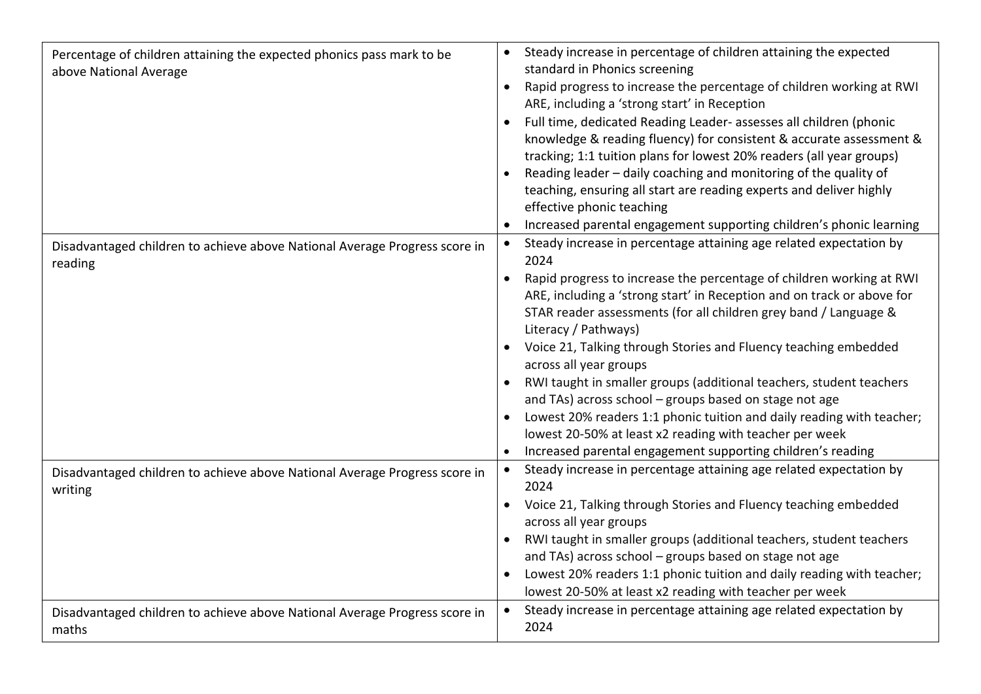| Percentage of children attaining the expected phonics pass mark to be<br>above National Average | Steady increase in percentage of children attaining the expected<br>standard in Phonics screening<br>Rapid progress to increase the percentage of children working at RWI<br>ARE, including a 'strong start' in Reception<br>Full time, dedicated Reading Leader- assesses all children (phonic<br>knowledge & reading fluency) for consistent & accurate assessment &<br>tracking; 1:1 tuition plans for lowest 20% readers (all year groups)<br>Reading leader - daily coaching and monitoring of the quality of<br>teaching, ensuring all start are reading experts and deliver highly<br>effective phonic teaching<br>Increased parental engagement supporting children's phonic learning                                                                          |
|-------------------------------------------------------------------------------------------------|------------------------------------------------------------------------------------------------------------------------------------------------------------------------------------------------------------------------------------------------------------------------------------------------------------------------------------------------------------------------------------------------------------------------------------------------------------------------------------------------------------------------------------------------------------------------------------------------------------------------------------------------------------------------------------------------------------------------------------------------------------------------|
| Disadvantaged children to achieve above National Average Progress score in<br>reading           | Steady increase in percentage attaining age related expectation by<br>2024<br>Rapid progress to increase the percentage of children working at RWI<br>$\bullet$<br>ARE, including a 'strong start' in Reception and on track or above for<br>STAR reader assessments (for all children grey band / Language &<br>Literacy / Pathways)<br>Voice 21, Talking through Stories and Fluency teaching embedded<br>across all year groups<br>RWI taught in smaller groups (additional teachers, student teachers<br>and TAs) across school - groups based on stage not age<br>Lowest 20% readers 1:1 phonic tuition and daily reading with teacher;<br>lowest 20-50% at least x2 reading with teacher per week<br>Increased parental engagement supporting children's reading |
| Disadvantaged children to achieve above National Average Progress score in<br>writing           | Steady increase in percentage attaining age related expectation by<br>$\bullet$<br>2024<br>Voice 21, Talking through Stories and Fluency teaching embedded<br>across all year groups<br>RWI taught in smaller groups (additional teachers, student teachers<br>and TAs) across school - groups based on stage not age<br>Lowest 20% readers 1:1 phonic tuition and daily reading with teacher;<br>lowest 20-50% at least x2 reading with teacher per week<br>Steady increase in percentage attaining age related expectation by<br>$\bullet$                                                                                                                                                                                                                           |
| Disadvantaged children to achieve above National Average Progress score in<br>maths             | 2024                                                                                                                                                                                                                                                                                                                                                                                                                                                                                                                                                                                                                                                                                                                                                                   |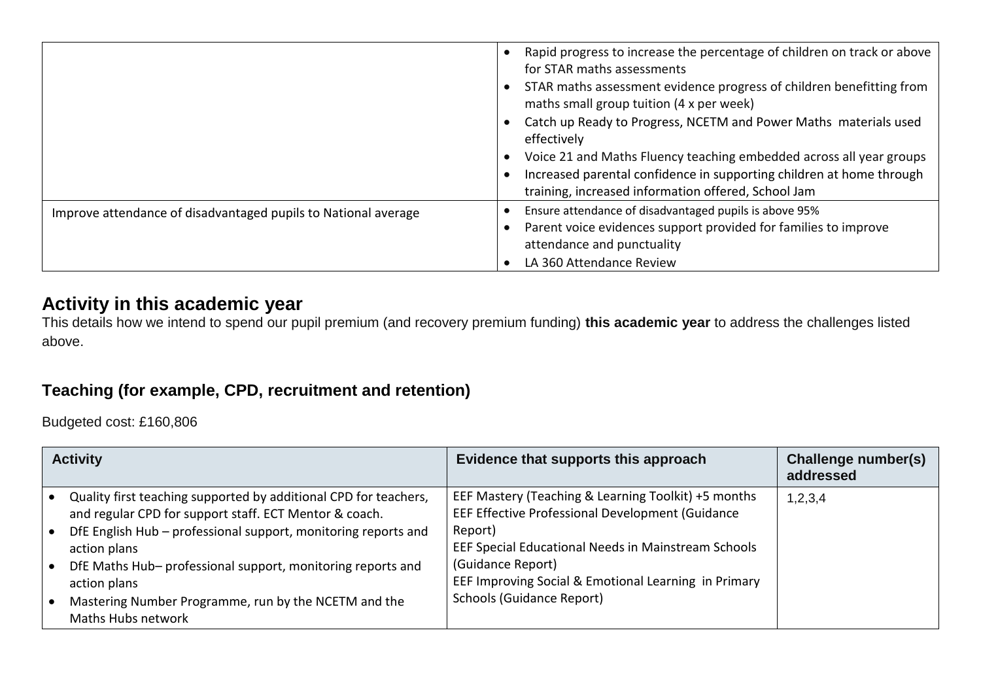|                                                                | Rapid progress to increase the percentage of children on track or above<br>for STAR maths assessments<br>STAR maths assessment evidence progress of children benefitting from<br>maths small group tuition (4 x per week)<br>Catch up Ready to Progress, NCETM and Power Maths materials used<br>effectively<br>Voice 21 and Maths Fluency teaching embedded across all year groups<br>Increased parental confidence in supporting children at home through<br>training, increased information offered, School Jam |
|----------------------------------------------------------------|--------------------------------------------------------------------------------------------------------------------------------------------------------------------------------------------------------------------------------------------------------------------------------------------------------------------------------------------------------------------------------------------------------------------------------------------------------------------------------------------------------------------|
| Improve attendance of disadvantaged pupils to National average | Ensure attendance of disadvantaged pupils is above 95%<br>Parent voice evidences support provided for families to improve<br>attendance and punctuality<br>LA 360 Attendance Review                                                                                                                                                                                                                                                                                                                                |

### **Activity in this academic year**

This details how we intend to spend our pupil premium (and recovery premium funding) **this academic year** to address the challenges listed above.

### **Teaching (for example, CPD, recruitment and retention)**

Budgeted cost: £160,806

| <b>Activity</b>                                                                                                            | Evidence that supports this approach                                                                    | Challenge number(s)<br>addressed |
|----------------------------------------------------------------------------------------------------------------------------|---------------------------------------------------------------------------------------------------------|----------------------------------|
| Quality first teaching supported by additional CPD for teachers,<br>and regular CPD for support staff. ECT Mentor & coach. | EEF Mastery (Teaching & Learning Toolkit) +5 months<br>EEF Effective Professional Development (Guidance | 1,2,3,4                          |
| DfE English Hub - professional support, monitoring reports and<br>action plans                                             | Report)<br>EEF Special Educational Needs in Mainstream Schools                                          |                                  |
| DfE Maths Hub- professional support, monitoring reports and<br>action plans                                                | (Guidance Report)<br>EEF Improving Social & Emotional Learning in Primary                               |                                  |
| Mastering Number Programme, run by the NCETM and the<br>Maths Hubs network                                                 | Schools (Guidance Report)                                                                               |                                  |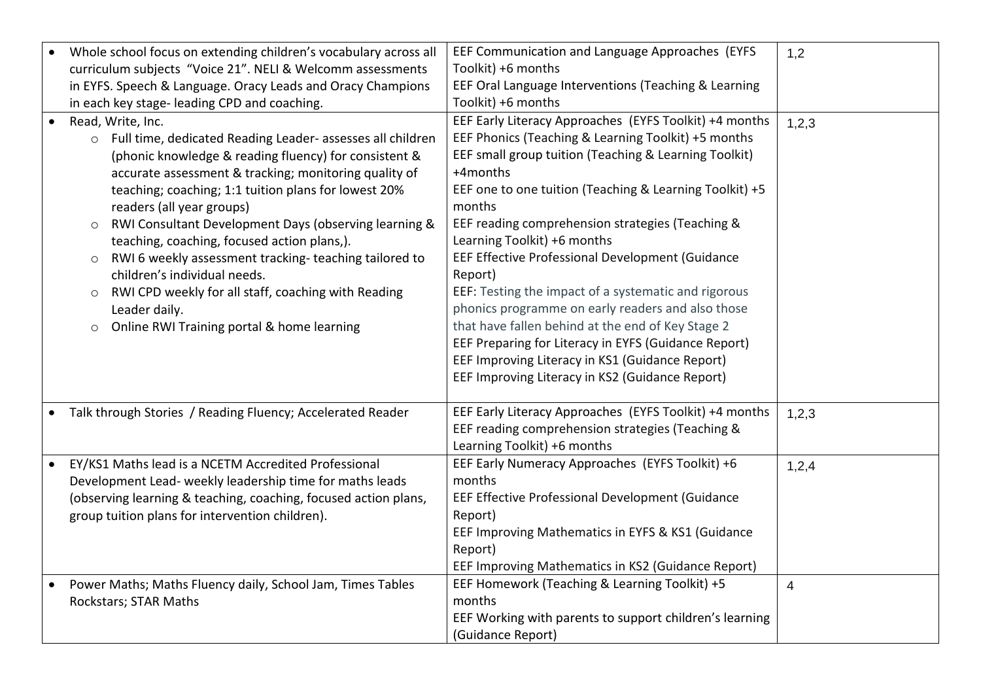| curriculum subjects "Voice 21". NELI & Welcomm assessments<br>Toolkit) +6 months<br>EEF Oral Language Interventions (Teaching & Learning<br>in EYFS. Speech & Language. Oracy Leads and Oracy Champions<br>Toolkit) +6 months<br>in each key stage- leading CPD and coaching.<br>EEF Early Literacy Approaches (EYFS Toolkit) +4 months<br>Read, Write, Inc.<br>1,2,3<br>EEF Phonics (Teaching & Learning Toolkit) +5 months<br>o Full time, dedicated Reading Leader- assesses all children<br>EEF small group tuition (Teaching & Learning Toolkit)<br>(phonic knowledge & reading fluency) for consistent &<br>accurate assessment & tracking; monitoring quality of<br>+4months<br>EEF one to one tuition (Teaching & Learning Toolkit) +5<br>teaching; coaching; 1:1 tuition plans for lowest 20%<br>months<br>readers (all year groups)<br>EEF reading comprehension strategies (Teaching &<br>RWI Consultant Development Days (observing learning &<br>Learning Toolkit) +6 months<br>teaching, coaching, focused action plans,).<br>EEF Effective Professional Development (Guidance<br>RWI 6 weekly assessment tracking-teaching tailored to<br>children's individual needs.<br>Report)<br>EEF: Testing the impact of a systematic and rigorous<br>RWI CPD weekly for all staff, coaching with Reading<br>$\circ$<br>phonics programme on early readers and also those<br>Leader daily.<br>that have fallen behind at the end of Key Stage 2<br>Online RWI Training portal & home learning<br>$\circ$<br>EEF Preparing for Literacy in EYFS (Guidance Report)<br>EEF Improving Literacy in KS1 (Guidance Report)<br>EEF Improving Literacy in KS2 (Guidance Report)<br>EEF Early Literacy Approaches (EYFS Toolkit) +4 months<br>Talk through Stories / Reading Fluency; Accelerated Reader<br>1,2,3<br>EEF reading comprehension strategies (Teaching &<br>Learning Toolkit) +6 months<br>EY/KS1 Maths lead is a NCETM Accredited Professional<br>EEF Early Numeracy Approaches (EYFS Toolkit) +6<br>1,2,4<br>months<br>Development Lead- weekly leadership time for maths leads<br>EEF Effective Professional Development (Guidance<br>(observing learning & teaching, coaching, focused action plans,<br>Report)<br>group tuition plans for intervention children).<br>EEF Improving Mathematics in EYFS & KS1 (Guidance<br>Report)<br>EEF Improving Mathematics in KS2 (Guidance Report)<br>EEF Homework (Teaching & Learning Toolkit) +5<br>Power Maths; Maths Fluency daily, School Jam, Times Tables<br>$\overline{4}$<br>months<br>Rockstars; STAR Maths<br>EEF Working with parents to support children's learning<br>(Guidance Report) |                                                                  |                                                 |     |
|-----------------------------------------------------------------------------------------------------------------------------------------------------------------------------------------------------------------------------------------------------------------------------------------------------------------------------------------------------------------------------------------------------------------------------------------------------------------------------------------------------------------------------------------------------------------------------------------------------------------------------------------------------------------------------------------------------------------------------------------------------------------------------------------------------------------------------------------------------------------------------------------------------------------------------------------------------------------------------------------------------------------------------------------------------------------------------------------------------------------------------------------------------------------------------------------------------------------------------------------------------------------------------------------------------------------------------------------------------------------------------------------------------------------------------------------------------------------------------------------------------------------------------------------------------------------------------------------------------------------------------------------------------------------------------------------------------------------------------------------------------------------------------------------------------------------------------------------------------------------------------------------------------------------------------------------------------------------------------------------------------------------------------------------------------------------------------------------------------------------------------------------------------------------------------------------------------------------------------------------------------------------------------------------------------------------------------------------------------------------------------------------------------------------------------------------------------------------------------------------------------------------------------------------------------------------------------------------------------------------------------------------------------------|------------------------------------------------------------------|-------------------------------------------------|-----|
|                                                                                                                                                                                                                                                                                                                                                                                                                                                                                                                                                                                                                                                                                                                                                                                                                                                                                                                                                                                                                                                                                                                                                                                                                                                                                                                                                                                                                                                                                                                                                                                                                                                                                                                                                                                                                                                                                                                                                                                                                                                                                                                                                                                                                                                                                                                                                                                                                                                                                                                                                                                                                                                           | Whole school focus on extending children's vocabulary across all | EEF Communication and Language Approaches (EYFS | 1,2 |
|                                                                                                                                                                                                                                                                                                                                                                                                                                                                                                                                                                                                                                                                                                                                                                                                                                                                                                                                                                                                                                                                                                                                                                                                                                                                                                                                                                                                                                                                                                                                                                                                                                                                                                                                                                                                                                                                                                                                                                                                                                                                                                                                                                                                                                                                                                                                                                                                                                                                                                                                                                                                                                                           |                                                                  |                                                 |     |
|                                                                                                                                                                                                                                                                                                                                                                                                                                                                                                                                                                                                                                                                                                                                                                                                                                                                                                                                                                                                                                                                                                                                                                                                                                                                                                                                                                                                                                                                                                                                                                                                                                                                                                                                                                                                                                                                                                                                                                                                                                                                                                                                                                                                                                                                                                                                                                                                                                                                                                                                                                                                                                                           |                                                                  |                                                 |     |
|                                                                                                                                                                                                                                                                                                                                                                                                                                                                                                                                                                                                                                                                                                                                                                                                                                                                                                                                                                                                                                                                                                                                                                                                                                                                                                                                                                                                                                                                                                                                                                                                                                                                                                                                                                                                                                                                                                                                                                                                                                                                                                                                                                                                                                                                                                                                                                                                                                                                                                                                                                                                                                                           |                                                                  |                                                 |     |
|                                                                                                                                                                                                                                                                                                                                                                                                                                                                                                                                                                                                                                                                                                                                                                                                                                                                                                                                                                                                                                                                                                                                                                                                                                                                                                                                                                                                                                                                                                                                                                                                                                                                                                                                                                                                                                                                                                                                                                                                                                                                                                                                                                                                                                                                                                                                                                                                                                                                                                                                                                                                                                                           |                                                                  |                                                 |     |
|                                                                                                                                                                                                                                                                                                                                                                                                                                                                                                                                                                                                                                                                                                                                                                                                                                                                                                                                                                                                                                                                                                                                                                                                                                                                                                                                                                                                                                                                                                                                                                                                                                                                                                                                                                                                                                                                                                                                                                                                                                                                                                                                                                                                                                                                                                                                                                                                                                                                                                                                                                                                                                                           |                                                                  |                                                 |     |
|                                                                                                                                                                                                                                                                                                                                                                                                                                                                                                                                                                                                                                                                                                                                                                                                                                                                                                                                                                                                                                                                                                                                                                                                                                                                                                                                                                                                                                                                                                                                                                                                                                                                                                                                                                                                                                                                                                                                                                                                                                                                                                                                                                                                                                                                                                                                                                                                                                                                                                                                                                                                                                                           |                                                                  |                                                 |     |
|                                                                                                                                                                                                                                                                                                                                                                                                                                                                                                                                                                                                                                                                                                                                                                                                                                                                                                                                                                                                                                                                                                                                                                                                                                                                                                                                                                                                                                                                                                                                                                                                                                                                                                                                                                                                                                                                                                                                                                                                                                                                                                                                                                                                                                                                                                                                                                                                                                                                                                                                                                                                                                                           |                                                                  |                                                 |     |
|                                                                                                                                                                                                                                                                                                                                                                                                                                                                                                                                                                                                                                                                                                                                                                                                                                                                                                                                                                                                                                                                                                                                                                                                                                                                                                                                                                                                                                                                                                                                                                                                                                                                                                                                                                                                                                                                                                                                                                                                                                                                                                                                                                                                                                                                                                                                                                                                                                                                                                                                                                                                                                                           |                                                                  |                                                 |     |
|                                                                                                                                                                                                                                                                                                                                                                                                                                                                                                                                                                                                                                                                                                                                                                                                                                                                                                                                                                                                                                                                                                                                                                                                                                                                                                                                                                                                                                                                                                                                                                                                                                                                                                                                                                                                                                                                                                                                                                                                                                                                                                                                                                                                                                                                                                                                                                                                                                                                                                                                                                                                                                                           |                                                                  |                                                 |     |
|                                                                                                                                                                                                                                                                                                                                                                                                                                                                                                                                                                                                                                                                                                                                                                                                                                                                                                                                                                                                                                                                                                                                                                                                                                                                                                                                                                                                                                                                                                                                                                                                                                                                                                                                                                                                                                                                                                                                                                                                                                                                                                                                                                                                                                                                                                                                                                                                                                                                                                                                                                                                                                                           |                                                                  |                                                 |     |
|                                                                                                                                                                                                                                                                                                                                                                                                                                                                                                                                                                                                                                                                                                                                                                                                                                                                                                                                                                                                                                                                                                                                                                                                                                                                                                                                                                                                                                                                                                                                                                                                                                                                                                                                                                                                                                                                                                                                                                                                                                                                                                                                                                                                                                                                                                                                                                                                                                                                                                                                                                                                                                                           |                                                                  |                                                 |     |
|                                                                                                                                                                                                                                                                                                                                                                                                                                                                                                                                                                                                                                                                                                                                                                                                                                                                                                                                                                                                                                                                                                                                                                                                                                                                                                                                                                                                                                                                                                                                                                                                                                                                                                                                                                                                                                                                                                                                                                                                                                                                                                                                                                                                                                                                                                                                                                                                                                                                                                                                                                                                                                                           |                                                                  |                                                 |     |
|                                                                                                                                                                                                                                                                                                                                                                                                                                                                                                                                                                                                                                                                                                                                                                                                                                                                                                                                                                                                                                                                                                                                                                                                                                                                                                                                                                                                                                                                                                                                                                                                                                                                                                                                                                                                                                                                                                                                                                                                                                                                                                                                                                                                                                                                                                                                                                                                                                                                                                                                                                                                                                                           |                                                                  |                                                 |     |
|                                                                                                                                                                                                                                                                                                                                                                                                                                                                                                                                                                                                                                                                                                                                                                                                                                                                                                                                                                                                                                                                                                                                                                                                                                                                                                                                                                                                                                                                                                                                                                                                                                                                                                                                                                                                                                                                                                                                                                                                                                                                                                                                                                                                                                                                                                                                                                                                                                                                                                                                                                                                                                                           |                                                                  |                                                 |     |
|                                                                                                                                                                                                                                                                                                                                                                                                                                                                                                                                                                                                                                                                                                                                                                                                                                                                                                                                                                                                                                                                                                                                                                                                                                                                                                                                                                                                                                                                                                                                                                                                                                                                                                                                                                                                                                                                                                                                                                                                                                                                                                                                                                                                                                                                                                                                                                                                                                                                                                                                                                                                                                                           |                                                                  |                                                 |     |
|                                                                                                                                                                                                                                                                                                                                                                                                                                                                                                                                                                                                                                                                                                                                                                                                                                                                                                                                                                                                                                                                                                                                                                                                                                                                                                                                                                                                                                                                                                                                                                                                                                                                                                                                                                                                                                                                                                                                                                                                                                                                                                                                                                                                                                                                                                                                                                                                                                                                                                                                                                                                                                                           |                                                                  |                                                 |     |
|                                                                                                                                                                                                                                                                                                                                                                                                                                                                                                                                                                                                                                                                                                                                                                                                                                                                                                                                                                                                                                                                                                                                                                                                                                                                                                                                                                                                                                                                                                                                                                                                                                                                                                                                                                                                                                                                                                                                                                                                                                                                                                                                                                                                                                                                                                                                                                                                                                                                                                                                                                                                                                                           |                                                                  |                                                 |     |
|                                                                                                                                                                                                                                                                                                                                                                                                                                                                                                                                                                                                                                                                                                                                                                                                                                                                                                                                                                                                                                                                                                                                                                                                                                                                                                                                                                                                                                                                                                                                                                                                                                                                                                                                                                                                                                                                                                                                                                                                                                                                                                                                                                                                                                                                                                                                                                                                                                                                                                                                                                                                                                                           |                                                                  |                                                 |     |
|                                                                                                                                                                                                                                                                                                                                                                                                                                                                                                                                                                                                                                                                                                                                                                                                                                                                                                                                                                                                                                                                                                                                                                                                                                                                                                                                                                                                                                                                                                                                                                                                                                                                                                                                                                                                                                                                                                                                                                                                                                                                                                                                                                                                                                                                                                                                                                                                                                                                                                                                                                                                                                                           |                                                                  |                                                 |     |
|                                                                                                                                                                                                                                                                                                                                                                                                                                                                                                                                                                                                                                                                                                                                                                                                                                                                                                                                                                                                                                                                                                                                                                                                                                                                                                                                                                                                                                                                                                                                                                                                                                                                                                                                                                                                                                                                                                                                                                                                                                                                                                                                                                                                                                                                                                                                                                                                                                                                                                                                                                                                                                                           |                                                                  |                                                 |     |
|                                                                                                                                                                                                                                                                                                                                                                                                                                                                                                                                                                                                                                                                                                                                                                                                                                                                                                                                                                                                                                                                                                                                                                                                                                                                                                                                                                                                                                                                                                                                                                                                                                                                                                                                                                                                                                                                                                                                                                                                                                                                                                                                                                                                                                                                                                                                                                                                                                                                                                                                                                                                                                                           |                                                                  |                                                 |     |
|                                                                                                                                                                                                                                                                                                                                                                                                                                                                                                                                                                                                                                                                                                                                                                                                                                                                                                                                                                                                                                                                                                                                                                                                                                                                                                                                                                                                                                                                                                                                                                                                                                                                                                                                                                                                                                                                                                                                                                                                                                                                                                                                                                                                                                                                                                                                                                                                                                                                                                                                                                                                                                                           |                                                                  |                                                 |     |
|                                                                                                                                                                                                                                                                                                                                                                                                                                                                                                                                                                                                                                                                                                                                                                                                                                                                                                                                                                                                                                                                                                                                                                                                                                                                                                                                                                                                                                                                                                                                                                                                                                                                                                                                                                                                                                                                                                                                                                                                                                                                                                                                                                                                                                                                                                                                                                                                                                                                                                                                                                                                                                                           |                                                                  |                                                 |     |
|                                                                                                                                                                                                                                                                                                                                                                                                                                                                                                                                                                                                                                                                                                                                                                                                                                                                                                                                                                                                                                                                                                                                                                                                                                                                                                                                                                                                                                                                                                                                                                                                                                                                                                                                                                                                                                                                                                                                                                                                                                                                                                                                                                                                                                                                                                                                                                                                                                                                                                                                                                                                                                                           |                                                                  |                                                 |     |
|                                                                                                                                                                                                                                                                                                                                                                                                                                                                                                                                                                                                                                                                                                                                                                                                                                                                                                                                                                                                                                                                                                                                                                                                                                                                                                                                                                                                                                                                                                                                                                                                                                                                                                                                                                                                                                                                                                                                                                                                                                                                                                                                                                                                                                                                                                                                                                                                                                                                                                                                                                                                                                                           |                                                                  |                                                 |     |
|                                                                                                                                                                                                                                                                                                                                                                                                                                                                                                                                                                                                                                                                                                                                                                                                                                                                                                                                                                                                                                                                                                                                                                                                                                                                                                                                                                                                                                                                                                                                                                                                                                                                                                                                                                                                                                                                                                                                                                                                                                                                                                                                                                                                                                                                                                                                                                                                                                                                                                                                                                                                                                                           |                                                                  |                                                 |     |
|                                                                                                                                                                                                                                                                                                                                                                                                                                                                                                                                                                                                                                                                                                                                                                                                                                                                                                                                                                                                                                                                                                                                                                                                                                                                                                                                                                                                                                                                                                                                                                                                                                                                                                                                                                                                                                                                                                                                                                                                                                                                                                                                                                                                                                                                                                                                                                                                                                                                                                                                                                                                                                                           |                                                                  |                                                 |     |
|                                                                                                                                                                                                                                                                                                                                                                                                                                                                                                                                                                                                                                                                                                                                                                                                                                                                                                                                                                                                                                                                                                                                                                                                                                                                                                                                                                                                                                                                                                                                                                                                                                                                                                                                                                                                                                                                                                                                                                                                                                                                                                                                                                                                                                                                                                                                                                                                                                                                                                                                                                                                                                                           |                                                                  |                                                 |     |
|                                                                                                                                                                                                                                                                                                                                                                                                                                                                                                                                                                                                                                                                                                                                                                                                                                                                                                                                                                                                                                                                                                                                                                                                                                                                                                                                                                                                                                                                                                                                                                                                                                                                                                                                                                                                                                                                                                                                                                                                                                                                                                                                                                                                                                                                                                                                                                                                                                                                                                                                                                                                                                                           |                                                                  |                                                 |     |
|                                                                                                                                                                                                                                                                                                                                                                                                                                                                                                                                                                                                                                                                                                                                                                                                                                                                                                                                                                                                                                                                                                                                                                                                                                                                                                                                                                                                                                                                                                                                                                                                                                                                                                                                                                                                                                                                                                                                                                                                                                                                                                                                                                                                                                                                                                                                                                                                                                                                                                                                                                                                                                                           |                                                                  |                                                 |     |
|                                                                                                                                                                                                                                                                                                                                                                                                                                                                                                                                                                                                                                                                                                                                                                                                                                                                                                                                                                                                                                                                                                                                                                                                                                                                                                                                                                                                                                                                                                                                                                                                                                                                                                                                                                                                                                                                                                                                                                                                                                                                                                                                                                                                                                                                                                                                                                                                                                                                                                                                                                                                                                                           |                                                                  |                                                 |     |
|                                                                                                                                                                                                                                                                                                                                                                                                                                                                                                                                                                                                                                                                                                                                                                                                                                                                                                                                                                                                                                                                                                                                                                                                                                                                                                                                                                                                                                                                                                                                                                                                                                                                                                                                                                                                                                                                                                                                                                                                                                                                                                                                                                                                                                                                                                                                                                                                                                                                                                                                                                                                                                                           |                                                                  |                                                 |     |
|                                                                                                                                                                                                                                                                                                                                                                                                                                                                                                                                                                                                                                                                                                                                                                                                                                                                                                                                                                                                                                                                                                                                                                                                                                                                                                                                                                                                                                                                                                                                                                                                                                                                                                                                                                                                                                                                                                                                                                                                                                                                                                                                                                                                                                                                                                                                                                                                                                                                                                                                                                                                                                                           |                                                                  |                                                 |     |
|                                                                                                                                                                                                                                                                                                                                                                                                                                                                                                                                                                                                                                                                                                                                                                                                                                                                                                                                                                                                                                                                                                                                                                                                                                                                                                                                                                                                                                                                                                                                                                                                                                                                                                                                                                                                                                                                                                                                                                                                                                                                                                                                                                                                                                                                                                                                                                                                                                                                                                                                                                                                                                                           |                                                                  |                                                 |     |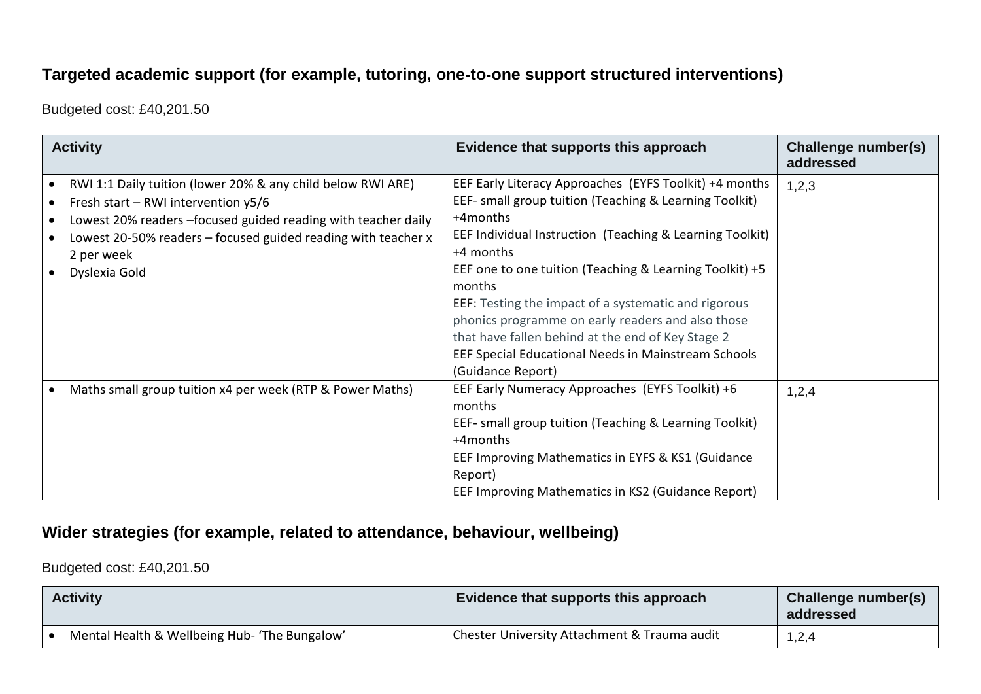### **Targeted academic support (for example, tutoring, one-to-one support structured interventions)**

Budgeted cost: £40,201.50

| <b>Activity</b>                                                                                                                                                                                                                                                       | Evidence that supports this approach                                                                                                                                                                                                                                                                                                                                                                                                                                                                                     | Challenge number(s)<br>addressed |
|-----------------------------------------------------------------------------------------------------------------------------------------------------------------------------------------------------------------------------------------------------------------------|--------------------------------------------------------------------------------------------------------------------------------------------------------------------------------------------------------------------------------------------------------------------------------------------------------------------------------------------------------------------------------------------------------------------------------------------------------------------------------------------------------------------------|----------------------------------|
| RWI 1:1 Daily tuition (lower 20% & any child below RWI ARE)<br>Fresh start – RWI intervention $y5/6$<br>Lowest 20% readers -focused guided reading with teacher daily<br>Lowest 20-50% readers – focused guided reading with teacher x<br>2 per week<br>Dyslexia Gold | EEF Early Literacy Approaches (EYFS Toolkit) +4 months<br>EEF- small group tuition (Teaching & Learning Toolkit)<br>+4months<br>EEF Individual Instruction (Teaching & Learning Toolkit)<br>+4 months<br>EEF one to one tuition (Teaching & Learning Toolkit) +5<br>months<br>EEF: Testing the impact of a systematic and rigorous<br>phonics programme on early readers and also those<br>that have fallen behind at the end of Key Stage 2<br>EEF Special Educational Needs in Mainstream Schools<br>(Guidance Report) | 1,2,3                            |
| Maths small group tuition x4 per week (RTP & Power Maths)                                                                                                                                                                                                             | EEF Early Numeracy Approaches (EYFS Toolkit) +6<br>months<br>EEF- small group tuition (Teaching & Learning Toolkit)<br>+4months<br>EEF Improving Mathematics in EYFS & KS1 (Guidance<br>Report)<br>EEF Improving Mathematics in KS2 (Guidance Report)                                                                                                                                                                                                                                                                    | 1,2,4                            |

#### **Wider strategies (for example, related to attendance, behaviour, wellbeing)**

Budgeted cost: £40,201.50

| <b>Activity</b>                               | Evidence that supports this approach         | Challenge number(s)<br>addressed |
|-----------------------------------------------|----------------------------------------------|----------------------------------|
| Mental Health & Wellbeing Hub- 'The Bungalow' | Chester University Attachment & Trauma audit | 1,2,4                            |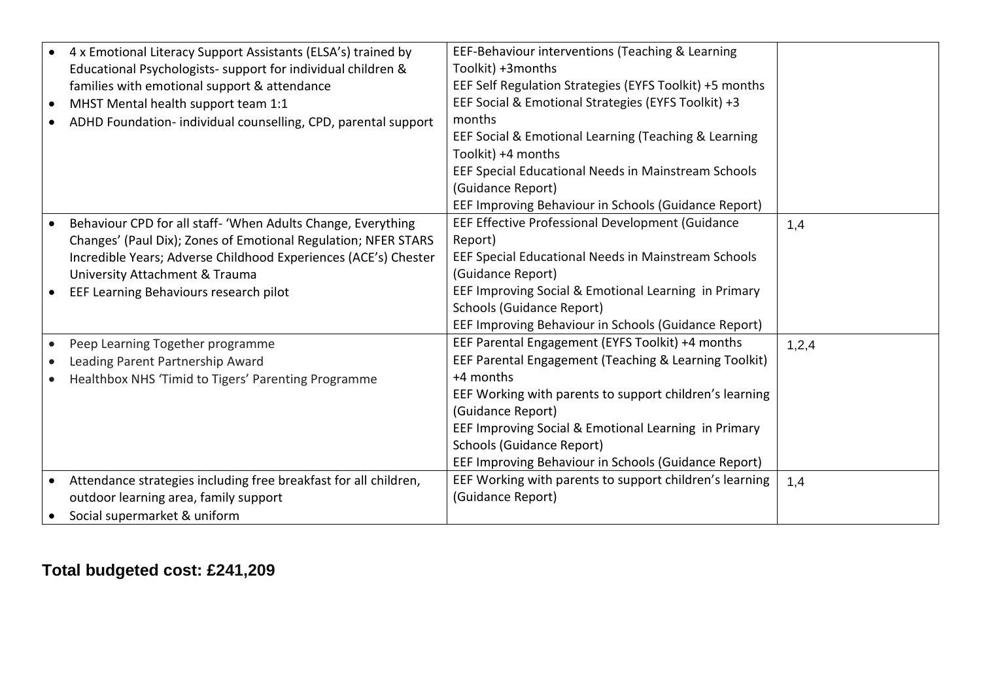|           | • 4 x Emotional Literacy Support Assistants (ELSA's) trained by  | EEF-Behaviour interventions (Teaching & Learning        |       |
|-----------|------------------------------------------------------------------|---------------------------------------------------------|-------|
|           | Educational Psychologists- support for individual children &     | Toolkit) +3months                                       |       |
|           | families with emotional support & attendance                     | EEF Self Regulation Strategies (EYFS Toolkit) +5 months |       |
| $\bullet$ | MHST Mental health support team 1:1                              | EEF Social & Emotional Strategies (EYFS Toolkit) +3     |       |
| $\bullet$ | ADHD Foundation- individual counselling, CPD, parental support   | months                                                  |       |
|           |                                                                  | EEF Social & Emotional Learning (Teaching & Learning    |       |
|           |                                                                  | Toolkit) +4 months                                      |       |
|           |                                                                  | EEF Special Educational Needs in Mainstream Schools     |       |
|           |                                                                  | (Guidance Report)                                       |       |
|           |                                                                  | EEF Improving Behaviour in Schools (Guidance Report)    |       |
| $\bullet$ | Behaviour CPD for all staff- 'When Adults Change, Everything     | <b>EEF Effective Professional Development (Guidance</b> | 1,4   |
|           | Changes' (Paul Dix); Zones of Emotional Regulation; NFER STARS   | Report)                                                 |       |
|           | Incredible Years; Adverse Childhood Experiences (ACE's) Chester  | EEF Special Educational Needs in Mainstream Schools     |       |
|           | University Attachment & Trauma                                   | (Guidance Report)                                       |       |
|           | EEF Learning Behaviours research pilot                           | EEF Improving Social & Emotional Learning in Primary    |       |
|           |                                                                  | <b>Schools (Guidance Report)</b>                        |       |
|           |                                                                  | EEF Improving Behaviour in Schools (Guidance Report)    |       |
| $\bullet$ | Peep Learning Together programme                                 | EEF Parental Engagement (EYFS Toolkit) +4 months        | 1,2,4 |
|           | Leading Parent Partnership Award                                 | EEF Parental Engagement (Teaching & Learning Toolkit)   |       |
|           | Healthbox NHS 'Timid to Tigers' Parenting Programme              | +4 months                                               |       |
|           |                                                                  | EEF Working with parents to support children's learning |       |
|           |                                                                  | (Guidance Report)                                       |       |
|           |                                                                  | EEF Improving Social & Emotional Learning in Primary    |       |
|           |                                                                  | <b>Schools (Guidance Report)</b>                        |       |
|           |                                                                  | EEF Improving Behaviour in Schools (Guidance Report)    |       |
|           | Attendance strategies including free breakfast for all children, | EEF Working with parents to support children's learning | 1,4   |
|           | outdoor learning area, family support                            | (Guidance Report)                                       |       |
| $\bullet$ | Social supermarket & uniform                                     |                                                         |       |
|           |                                                                  |                                                         |       |

# **Total budgeted cost: £241,209**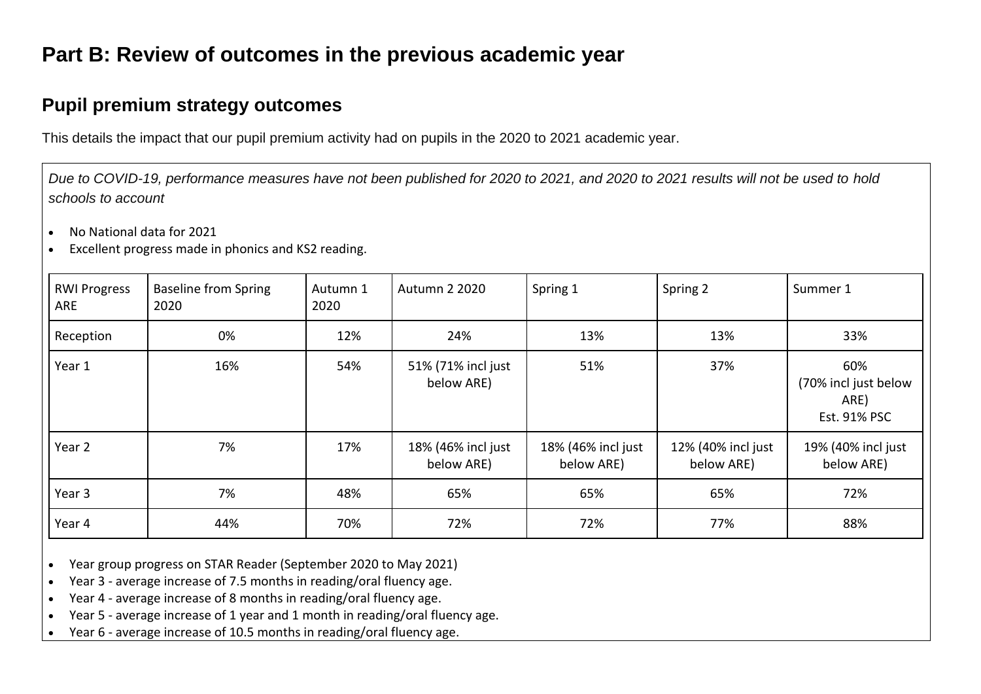# **Part B: Review of outcomes in the previous academic year**

### **Pupil premium strategy outcomes**

This details the impact that our pupil premium activity had on pupils in the 2020 to 2021 academic year.

*Due to COVID-19, performance measures have not been published for 2020 to 2021, and 2020 to 2021 results will not be used to hold schools to account*

- No National data for 2021
- Excellent progress made in phonics and KS2 reading.

| <b>RWI Progress</b><br>ARE | <b>Baseline from Spring</b><br>2020 | Autumn 1<br>2020 | <b>Autumn 2 2020</b>             | Spring 1                         | Spring 2                         | Summer 1                                            |
|----------------------------|-------------------------------------|------------------|----------------------------------|----------------------------------|----------------------------------|-----------------------------------------------------|
| Reception                  | 0%                                  | 12%              | 24%                              | 13%                              | 13%                              | 33%                                                 |
| Year 1                     | 16%                                 | 54%              | 51% (71% incl just<br>below ARE) | 51%                              | 37%                              | 60%<br>(70% incl just below<br>ARE)<br>Est. 91% PSC |
| Year 2                     | 7%                                  | 17%              | 18% (46% incl just<br>below ARE) | 18% (46% incl just<br>below ARE) | 12% (40% incl just<br>below ARE) | 19% (40% incl just<br>below ARE)                    |
| Year 3                     | 7%                                  | 48%              | 65%                              | 65%                              | 65%                              | 72%                                                 |
| Year 4                     | 44%                                 | 70%              | 72%                              | 72%                              | 77%                              | 88%                                                 |

• Year group progress on STAR Reader (September 2020 to May 2021)

• Year 3 - average increase of 7.5 months in reading/oral fluency age.

• Year 4 - average increase of 8 months in reading/oral fluency age.

• Year 5 - average increase of 1 year and 1 month in reading/oral fluency age.

• Year 6 - average increase of 10.5 months in reading/oral fluency age.